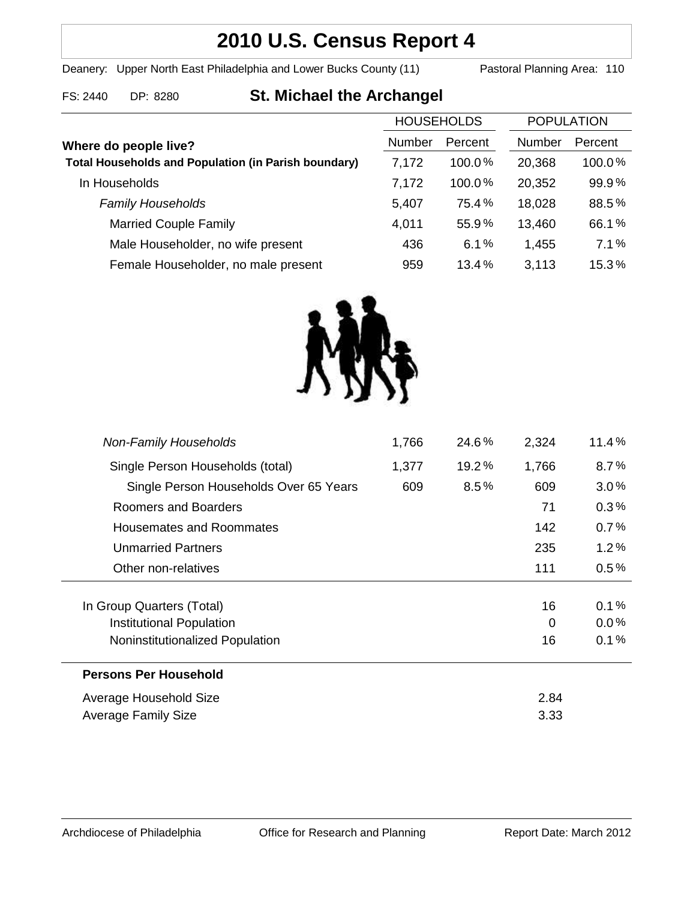## **2010 U.S. Census Report 4**

Deanery: Upper North East Philadelphia and Lower Bucks County (11) Pastoral Planning Area: 110

| FS: 2440 | DP: 828 |
|----------|---------|
|          |         |

# **Fackbook St. Michael the Archangel**

| <b>HOUSEHOLDS</b> |           | <b>POPULATION</b> |         |
|-------------------|-----------|-------------------|---------|
| Number            | Percent   | Number            | Percent |
| 7,172             | $100.0\%$ | 20,368            | 100.0%  |
| 7,172             | 100.0%    | 20,352            | 99.9%   |
| 5,407             | 75.4%     | 18,028            | 88.5%   |
| 4,011             | 55.9%     | 13,460            | 66.1%   |
| 436               | 6.1%      | 1,455             | 7.1%    |
| 959               | 13.4%     | 3,113             | 15.3%   |
|                   |           |                   |         |



| <b>Non-Family Households</b>           | 1,766 | 24.6%   | 2,324 | 11.4%   |
|----------------------------------------|-------|---------|-------|---------|
| Single Person Households (total)       | 1,377 | 19.2%   | 1,766 | 8.7%    |
| Single Person Households Over 65 Years | 609   | $8.5\%$ | 609   | 3.0%    |
| Roomers and Boarders                   |       |         | 71    | 0.3%    |
| Housemates and Roommates               |       |         | 142   | 0.7%    |
| <b>Unmarried Partners</b>              |       |         | 235   | 1.2%    |
| Other non-relatives                    |       |         | 111   | $0.5\%$ |
|                                        |       |         |       |         |
| In Group Quarters (Total)              |       |         | 16    | 0.1%    |
| Institutional Population               |       |         | 0     | $0.0\%$ |
| Noninstitutionalized Population        |       |         | 16    | 0.1%    |
| <b>Persons Per Household</b>           |       |         |       |         |
| Average Household Size                 |       |         | 2.84  |         |
| <b>Average Family Size</b>             |       |         |       |         |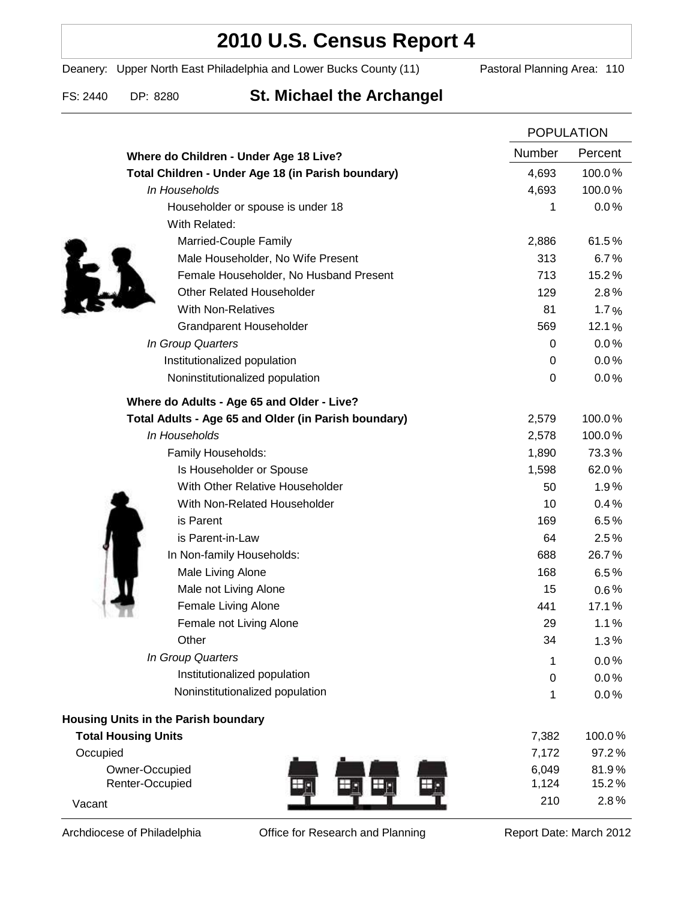### **2010 U.S. Census Report 4**

Deanery: Upper North East Philadelphia and Lower Bucks County (11) Pastoral Planning Area: 110

### FS: 2440 DP: 8280 **St. Michael the Archangel**

|                                                      |                  | <b>POPULATION</b> |  |
|------------------------------------------------------|------------------|-------------------|--|
| Where do Children - Under Age 18 Live?               | Number           | Percent           |  |
| Total Children - Under Age 18 (in Parish boundary)   | 4,693            | 100.0%            |  |
| In Households                                        | 4,693            | 100.0%            |  |
| Householder or spouse is under 18                    | 1                | 0.0%              |  |
| With Related:                                        |                  |                   |  |
| Married-Couple Family                                | 2,886            | 61.5%             |  |
| Male Householder, No Wife Present                    | 313              | 6.7%              |  |
| Female Householder, No Husband Present               | 713              | 15.2%             |  |
| <b>Other Related Householder</b>                     | 129              | 2.8%              |  |
| <b>With Non-Relatives</b>                            | 81               | 1.7%              |  |
| <b>Grandparent Householder</b>                       | 569              | 12.1%             |  |
| In Group Quarters                                    | 0                | 0.0%              |  |
| Institutionalized population                         | 0                | 0.0%              |  |
| Noninstitutionalized population                      | $\boldsymbol{0}$ | 0.0%              |  |
| Where do Adults - Age 65 and Older - Live?           |                  |                   |  |
| Total Adults - Age 65 and Older (in Parish boundary) | 2,579            | 100.0%            |  |
| In Households                                        | 2,578            | 100.0%            |  |
| Family Households:                                   | 1,890            | 73.3%             |  |
| Is Householder or Spouse                             | 1,598            | 62.0%             |  |
| With Other Relative Householder                      | 50               | 1.9%              |  |
| With Non-Related Householder                         | 10               | 0.4%              |  |
| is Parent                                            | 169              | 6.5%              |  |
| is Parent-in-Law                                     | 64               | 2.5%              |  |
| In Non-family Households:                            | 688              | 26.7%             |  |
| Male Living Alone                                    | 168              | 6.5%              |  |
| Male not Living Alone                                | 15               | $0.6\%$           |  |
| Female Living Alone                                  | 441              | 17.1%             |  |
| Female not Living Alone                              | 29               | 1.1%              |  |
| Other                                                | 34               | 1.3%              |  |
| In Group Quarters                                    | 1                | 0.0%              |  |
| Institutionalized population                         | 0                | 0.0%              |  |
| Noninstitutionalized population                      | 1                | 0.0%              |  |
| Housing Units in the Parish boundary                 |                  |                   |  |
| <b>Total Housing Units</b>                           | 7,382            | 100.0%            |  |
| Occupied                                             | 7,172            | 97.2%             |  |
| Owner-Occupied                                       | 6,049            | 81.9%             |  |
| Renter-Occupied                                      | 1,124            | 15.2%             |  |
| Vacant                                               | 210              | 2.8%              |  |

Archdiocese of Philadelphia **Office for Research and Planning** Report Date: March 2012